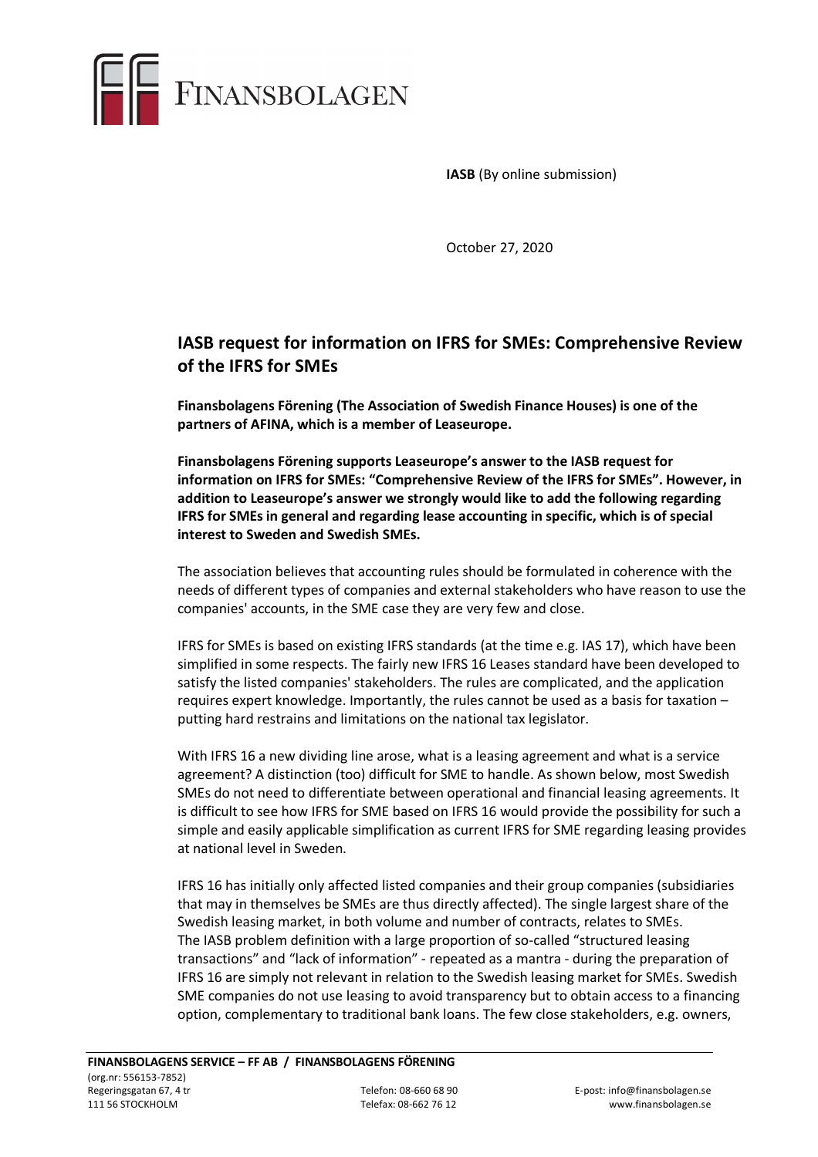

**IASB** (By online submission)

October 27, 2020

## **IASB request for information on IFRS for SMEs: Comprehensive Review of the IFRS for SMEs**

**Finansbolagens Förening (The Association of Swedish Finance Houses) is one of the partners of AFINA, which is a member of Leaseurope.** 

**Finansbolagens Förening supports Leaseurope's answer to the IASB request for information on IFRS for SMEs: "Comprehensive Review of the IFRS for SMEs". However, in addition to Leaseurope's answer we strongly would like to add the following regarding IFRS for SMEs in general and regarding lease accounting in specific, which is of special interest to Sweden and Swedish SMEs.**

The association believes that accounting rules should be formulated in coherence with the needs of different types of companies and external stakeholders who have reason to use the companies' accounts, in the SME case they are very few and close.

IFRS for SMEs is based on existing IFRS standards (at the time e.g. IAS 17), which have been simplified in some respects. The fairly new IFRS 16 Leases standard have been developed to satisfy the listed companies' stakeholders. The rules are complicated, and the application requires expert knowledge. Importantly, the rules cannot be used as a basis for taxation – putting hard restrains and limitations on the national tax legislator.

With IFRS 16 a new dividing line arose, what is a leasing agreement and what is a service agreement? A distinction (too) difficult for SME to handle. As shown below, most Swedish SMEs do not need to differentiate between operational and financial leasing agreements. It is difficult to see how IFRS for SME based on IFRS 16 would provide the possibility for such a simple and easily applicable simplification as current IFRS for SME regarding leasing provides at national level in Sweden.

IFRS 16 has initially only affected listed companies and their group companies (subsidiaries that may in themselves be SMEs are thus directly affected). The single largest share of the Swedish leasing market, in both volume and number of contracts, relates to SMEs. The IASB problem definition with a large proportion of so-called "structured leasing transactions" and "lack of information" - repeated as a mantra - during the preparation of IFRS 16 are simply not relevant in relation to the Swedish leasing market for SMEs. Swedish SME companies do not use leasing to avoid transparency but to obtain access to a financing option, complementary to traditional bank loans. The few close stakeholders, e.g. owners,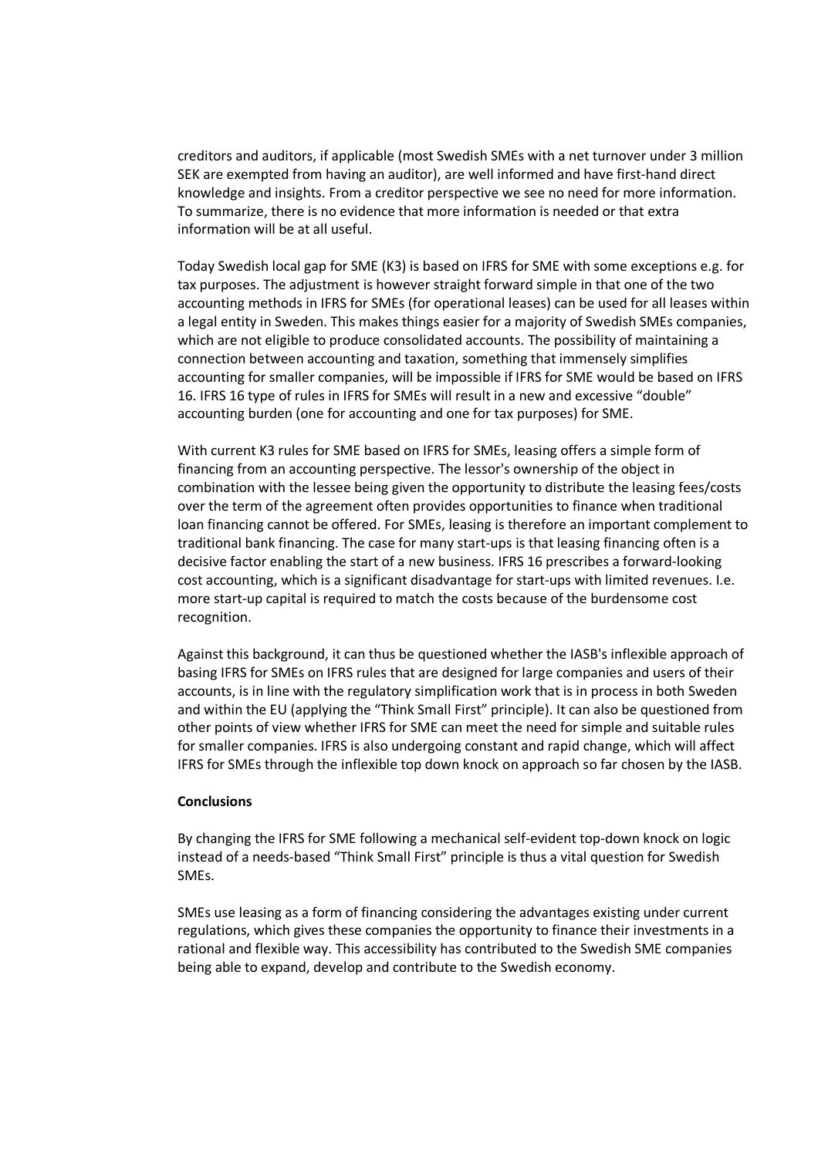creditors and auditors, if applicable (most Swedish SMEs with a net turnover under 3 million SEK are exempted from having an auditor), are well informed and have first-hand direct knowledge and insights. From a creditor perspective we see no need for more information. To summarize, there is no evidence that more information is needed or that extra information will be at all useful.

Today Swedish local gap for SME (K3) is based on IFRS for SME with some exceptions e.g. for tax purposes. The adjustment is however straight forward simple in that one of the two accounting methods in IFRS for SMEs (for operational leases) can be used for all leases within a legal entity in Sweden. This makes things easier for a majority of Swedish SMEs companies, which are not eligible to produce consolidated accounts. The possibility of maintaining a connection between accounting and taxation, something that immensely simplifies accounting for smaller companies, will be impossible if IFRS for SME would be based on IFRS 16. IFRS 16 type of rules in IFRS for SMEs will result in a new and excessive "double" accounting burden (one for accounting and one for tax purposes) for SME.

With current K3 rules for SME based on IFRS for SMEs, leasing offers a simple form of financing from an accounting perspective. The lessor's ownership of the object in combination with the lessee being given the opportunity to distribute the leasing fees/costs over the term of the agreement often provides opportunities to finance when traditional loan financing cannot be offered. For SMEs, leasing is therefore an important complement to traditional bank financing. The case for many start-ups is that leasing financing often is a decisive factor enabling the start of a new business. IFRS 16 prescribes a forward-looking cost accounting, which is a significant disadvantage for start-ups with limited revenues. I.e. more start-up capital is required to match the costs because of the burdensome cost recognition.

Against this background, it can thus be questioned whether the IASB's inflexible approach of basing IFRS for SMEs on IFRS rules that are designed for large companies and users of their accounts, is in line with the regulatory simplification work that is in process in both Sweden and within the EU (applying the "Think Small First" principle). It can also be questioned from other points of view whether IFRS for SME can meet the need for simple and suitable rules for smaller companies. IFRS is also undergoing constant and rapid change, which will affect IFRS for SMEs through the inflexible top down knock on approach so far chosen by the IASB.

## **Conclusions**

By changing the IFRS for SME following a mechanical self-evident top-down knock on logic instead of a needs-based "Think Small First" principle is thus a vital question for Swedish SMEs.

SMEs use leasing as a form of financing considering the advantages existing under current regulations, which gives these companies the opportunity to finance their investments in a rational and flexible way. This accessibility has contributed to the Swedish SME companies being able to expand, develop and contribute to the Swedish economy.